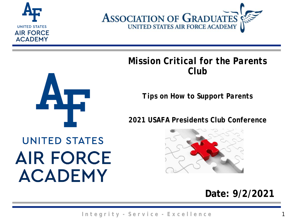



#### *Mission Critical for the Parents Club*



*2021 USAFA Presidents Club Conference*

# **UNITED STATES AIR FORCE ACADEMY**



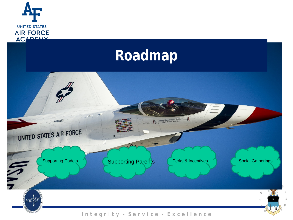

## **Roadmap**

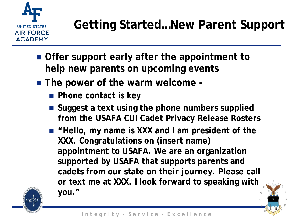

- **Offer support early after the appointment to help new parents on upcoming events**
- The power of the warm welcome -
	- **Phone contact is key**
	- Suggest a text using the phone numbers supplied **from the USAFA CUI Cadet Privacy Release Rosters**
	- "Hello, my name is XXX and I am president of the **XXX. Congratulations on (insert name) appointment to USAFA. We are an organization supported by USAFA that supports parents and cadets from our state on their journey. Please call or text me at XXX. I look forward to speaking with you."**

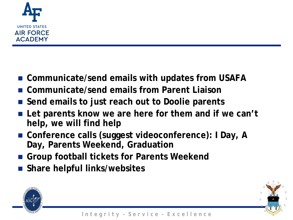

- Communicate/send emails with updates from USAFA
- **Communicate/send emails from Parent Liaison**
- Send emails to just reach out to Doolie parents
- Let parents know we are here for them and if we can't **help, we will find help**
- Conference calls (suggest videoconference): I Day, A **Day, Parents Weekend, Graduation**
- **Group football tickets for Parents Weekend**
- **Share helpful links/websites**

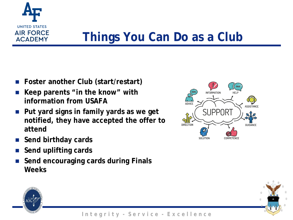

## **Things You Can Do as a Club**

- **Foster another Club (start/restart)**
- **Keep parents "in the know" with information from USAFA**
- **Put yard signs in family yards as we get notified, they have accepted the offer to attend**
- **Send birthday cards**
- **Send uplifting cards**
- **Send encouraging cards during Finals Weeks**





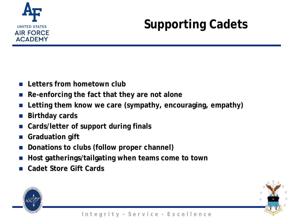

# **Supporting Cadets**

- **Letters from hometown club**
- **Re-enforcing the fact that they are not alone**
- **Letting them know we care (sympathy, encouraging, empathy)**
- **Birthday cards**
- **Cards/letter of support during finals**
- **Graduation gift**
- **Donations to clubs (follow proper channel)**
- **Host gatherings/tailgating when teams come to town**
- **Cadet Store Gift Cards**

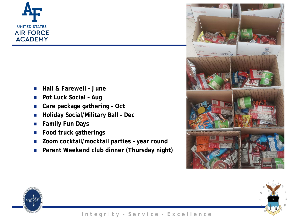

- **Hail & Farewell - June**
- **Social Pot Luck Social – Aug**
- **Care package gathering – Oct**
- **Gathering Social/Military Ball Dec** 
	- **Family Fun Days**
	- **Food truck gatherings**
	- **Zoom cocktail/mocktail parties – year round**
	- **Parent Weekend club dinner (Thursday night)**





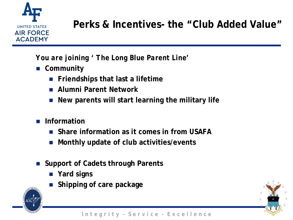

#### **Perks & Incentives- the "Club Added Value"**

*You are joining ' The Long Blue Parent Line'*

- **Community**
	- **Friendships that last a lifetime**
	- **Alumni Parent Network**
	- **New parents will start learning the military life**
- **Information**
	- **Share information as it comes in from USAFA**
	- **Monthly update of club activities/events**
- Support of Cadets through Parents
	- **Yard signs**
	- **Shipping of care package**



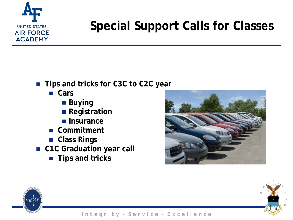

## **Special Support Calls for Classes**

- **Tips and tricks for C3C to C2C year** 
	- **Cars**
		- **Buying**
		- **Registration**
		- **Insurance**
	- **Commitment**
	- **Class Rings**
- **C1C Graduation year call** 
	- **Tips and tricks**





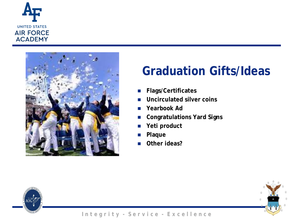



## **Graduation Gifts/Ideas**

- **Flags/Certificates**
- **Uncirculated silver coins**
- **Yearbook Ad**
- **Congratulations Yard Signs**
- **Yeti product**
- **Plaque**
- **D** Other ideas?



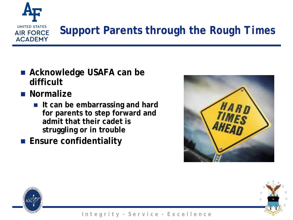

## **Support Parents through the** *Rough Times*

- Acknowledge USAFA can be **difficult**
- **Normalize** 
	- **If can be embarrassing and hard for parents to step forward and admit that their cadet is struggling or in trouble**
- **Ensure confidentiality**



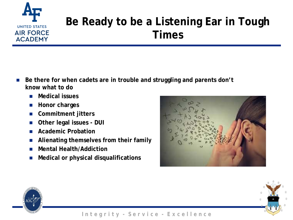

#### **Be Ready to be a Listening Ear in Tough Times**

- Be there for when cadets are in trouble and struggling and parents don't **know what to do**
	- **Medical issues**
	- **Honor charges**
	- **Commitment jitters**
	- **Other legal issues - DUI**
	- **Academic Probation**
	- **Alienating themselves from their family**
	- **Mental Health/Addiction**
	- **Medical or physical disqualifications**





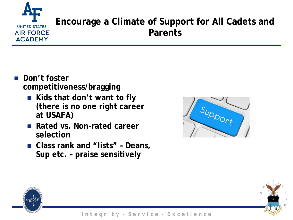### **UNITED STATES AIR FORCE ACADEMY**

#### **Encourage a Climate of Support for All Cadets and Parents**

- **Don't foster competitiveness/bragging**
	- Kids that don't want to fly **(there is no one right career at USAFA)**
	- Rated vs. Non-rated career **selection**
	- **Class rank and "lists" – Deans, Sup etc. – praise sensitively**





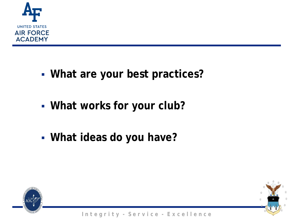

- **What are your best practices?**
- **What works ideas? What works for your club?**
	- **What ideas do you have?**